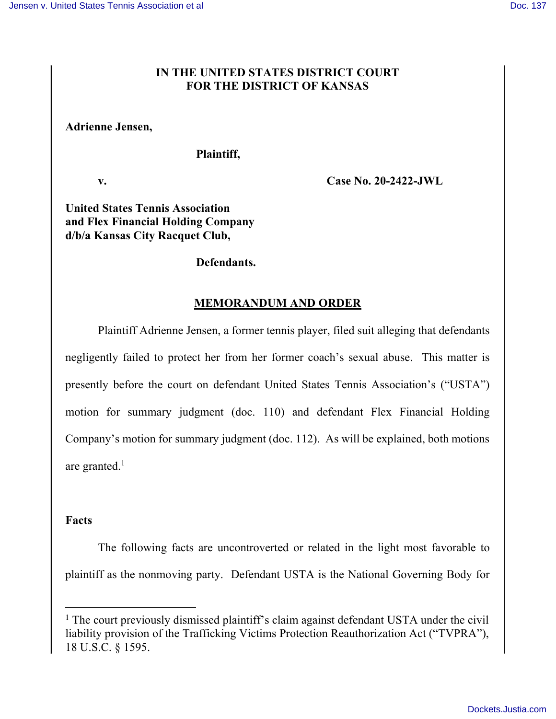## IN THE UNITED STATES DISTRICT COURT FOR THE DISTRICT OF KANSAS

### Adrienne Jensen,

#### Plaintiff,

v. Case No. 20-2422-JWL

## United States Tennis Association and Flex Financial Holding Company d/b/a Kansas City Racquet Club,

#### Defendants.

## MEMORANDUM AND ORDER

 Plaintiff Adrienne Jensen, a former tennis player, filed suit alleging that defendants negligently failed to protect her from her former coach's sexual abuse. This matter is presently before the court on defendant United States Tennis Association's ("USTA") motion for summary judgment (doc. 110) and defendant Flex Financial Holding Company's motion for summary judgment (doc. 112). As will be explained, both motions are granted.<sup>1</sup>

#### Facts

The following facts are uncontroverted or related in the light most favorable to plaintiff as the nonmoving party. Defendant USTA is the National Governing Body for

<sup>&</sup>lt;sup>1</sup> The court previously dismissed plaintiff's claim against defendant USTA under the civil liability provision of the Trafficking Victims Protection Reauthorization Act ("TVPRA"), 18 U.S.C. § 1595.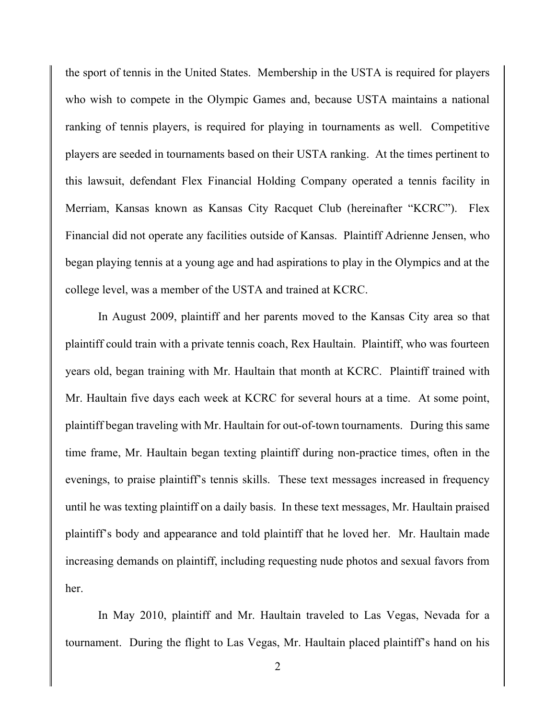the sport of tennis in the United States. Membership in the USTA is required for players who wish to compete in the Olympic Games and, because USTA maintains a national ranking of tennis players, is required for playing in tournaments as well. Competitive players are seeded in tournaments based on their USTA ranking. At the times pertinent to this lawsuit, defendant Flex Financial Holding Company operated a tennis facility in Merriam, Kansas known as Kansas City Racquet Club (hereinafter "KCRC"). Flex Financial did not operate any facilities outside of Kansas. Plaintiff Adrienne Jensen, who began playing tennis at a young age and had aspirations to play in the Olympics and at the college level, was a member of the USTA and trained at KCRC.

In August 2009, plaintiff and her parents moved to the Kansas City area so that plaintiff could train with a private tennis coach, Rex Haultain. Plaintiff, who was fourteen years old, began training with Mr. Haultain that month at KCRC. Plaintiff trained with Mr. Haultain five days each week at KCRC for several hours at a time. At some point, plaintiff began traveling with Mr. Haultain for out-of-town tournaments. During this same time frame, Mr. Haultain began texting plaintiff during non-practice times, often in the evenings, to praise plaintiff's tennis skills. These text messages increased in frequency until he was texting plaintiff on a daily basis. In these text messages, Mr. Haultain praised plaintiff's body and appearance and told plaintiff that he loved her. Mr. Haultain made increasing demands on plaintiff, including requesting nude photos and sexual favors from her.

In May 2010, plaintiff and Mr. Haultain traveled to Las Vegas, Nevada for a tournament. During the flight to Las Vegas, Mr. Haultain placed plaintiff's hand on his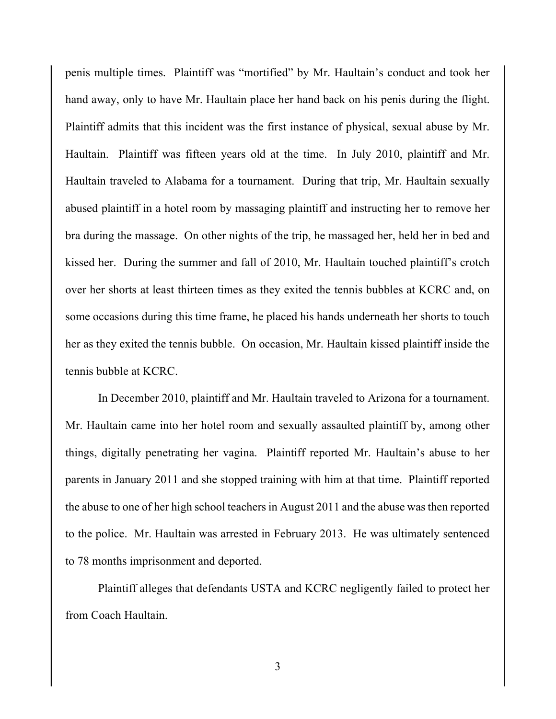penis multiple times. Plaintiff was "mortified" by Mr. Haultain's conduct and took her hand away, only to have Mr. Haultain place her hand back on his penis during the flight. Plaintiff admits that this incident was the first instance of physical, sexual abuse by Mr. Haultain. Plaintiff was fifteen years old at the time. In July 2010, plaintiff and Mr. Haultain traveled to Alabama for a tournament. During that trip, Mr. Haultain sexually abused plaintiff in a hotel room by massaging plaintiff and instructing her to remove her bra during the massage. On other nights of the trip, he massaged her, held her in bed and kissed her. During the summer and fall of 2010, Mr. Haultain touched plaintiff's crotch over her shorts at least thirteen times as they exited the tennis bubbles at KCRC and, on some occasions during this time frame, he placed his hands underneath her shorts to touch her as they exited the tennis bubble. On occasion, Mr. Haultain kissed plaintiff inside the tennis bubble at KCRC.

In December 2010, plaintiff and Mr. Haultain traveled to Arizona for a tournament. Mr. Haultain came into her hotel room and sexually assaulted plaintiff by, among other things, digitally penetrating her vagina. Plaintiff reported Mr. Haultain's abuse to her parents in January 2011 and she stopped training with him at that time. Plaintiff reported the abuse to one of her high school teachers in August 2011 and the abuse was then reported to the police. Mr. Haultain was arrested in February 2013. He was ultimately sentenced to 78 months imprisonment and deported.

Plaintiff alleges that defendants USTA and KCRC negligently failed to protect her from Coach Haultain.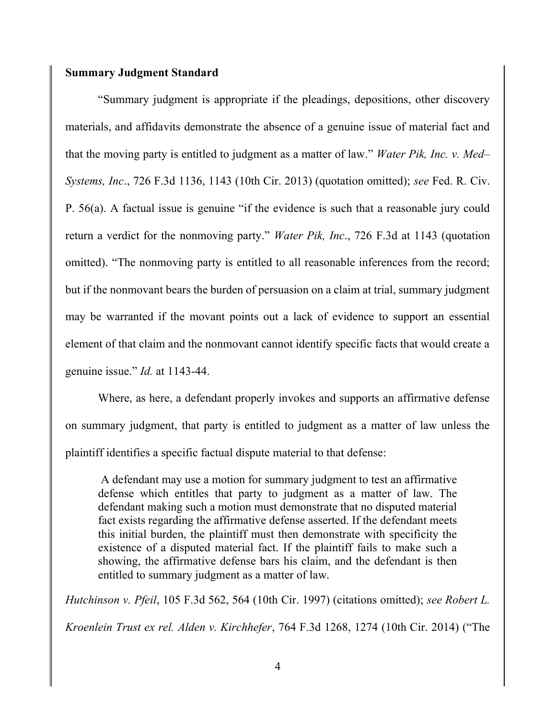### Summary Judgment Standard

 "Summary judgment is appropriate if the pleadings, depositions, other discovery materials, and affidavits demonstrate the absence of a genuine issue of material fact and that the moving party is entitled to judgment as a matter of law." Water Pik, Inc. v. Med– Systems, Inc., 726 F.3d 1136, 1143 (10th Cir. 2013) (quotation omitted); see Fed. R. Civ. P. 56(a). A factual issue is genuine "if the evidence is such that a reasonable jury could return a verdict for the nonmoving party." *Water Pik, Inc.*, 726 F.3d at 1143 (quotation omitted). "The nonmoving party is entitled to all reasonable inferences from the record; but if the nonmovant bears the burden of persuasion on a claim at trial, summary judgment may be warranted if the movant points out a lack of evidence to support an essential element of that claim and the nonmovant cannot identify specific facts that would create a genuine issue." Id. at 1143-44.

 Where, as here, a defendant properly invokes and supports an affirmative defense on summary judgment, that party is entitled to judgment as a matter of law unless the plaintiff identifies a specific factual dispute material to that defense:

 A defendant may use a motion for summary judgment to test an affirmative defense which entitles that party to judgment as a matter of law. The defendant making such a motion must demonstrate that no disputed material fact exists regarding the affirmative defense asserted. If the defendant meets this initial burden, the plaintiff must then demonstrate with specificity the existence of a disputed material fact. If the plaintiff fails to make such a showing, the affirmative defense bars his claim, and the defendant is then entitled to summary judgment as a matter of law.

Hutchinson v. Pfeil, 105 F.3d 562, 564 (10th Cir. 1997) (citations omitted); see Robert L. Kroenlein Trust ex rel. Alden v. Kirchhefer, 764 F.3d 1268, 1274 (10th Cir. 2014) ("The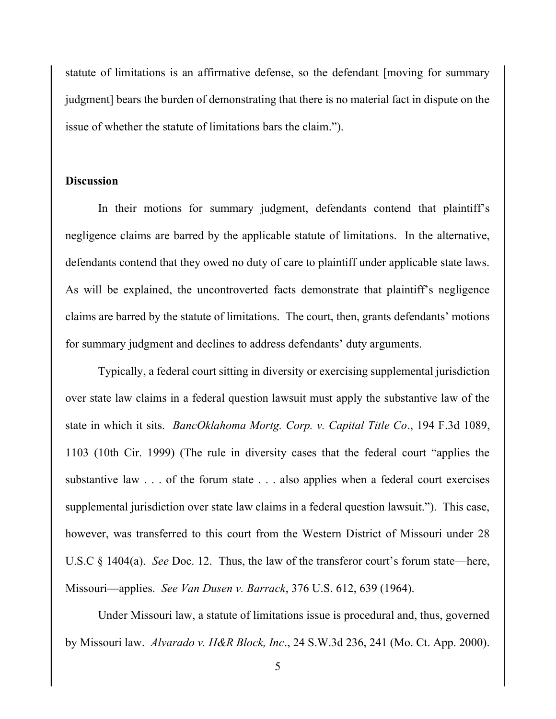statute of limitations is an affirmative defense, so the defendant [moving for summary judgment] bears the burden of demonstrating that there is no material fact in dispute on the issue of whether the statute of limitations bars the claim.").

## **Discussion**

In their motions for summary judgment, defendants contend that plaintiff's negligence claims are barred by the applicable statute of limitations. In the alternative, defendants contend that they owed no duty of care to plaintiff under applicable state laws. As will be explained, the uncontroverted facts demonstrate that plaintiff's negligence claims are barred by the statute of limitations. The court, then, grants defendants' motions for summary judgment and declines to address defendants' duty arguments.

Typically, a federal court sitting in diversity or exercising supplemental jurisdiction over state law claims in a federal question lawsuit must apply the substantive law of the state in which it sits. BancOklahoma Mortg. Corp. v. Capital Title Co., 194 F.3d 1089, 1103 (10th Cir. 1999) (The rule in diversity cases that the federal court "applies the substantive law . . . of the forum state . . . also applies when a federal court exercises supplemental jurisdiction over state law claims in a federal question lawsuit."). This case, however, was transferred to this court from the Western District of Missouri under 28 U.S.C § 1404(a). *See* Doc. 12. Thus, the law of the transferor court's forum state—here, Missouri—applies. See Van Dusen v. Barrack, 376 U.S. 612, 639 (1964).

Under Missouri law, a statute of limitations issue is procedural and, thus, governed by Missouri law. Alvarado v. H&R Block, Inc., 24 S.W.3d 236, 241 (Mo. Ct. App. 2000).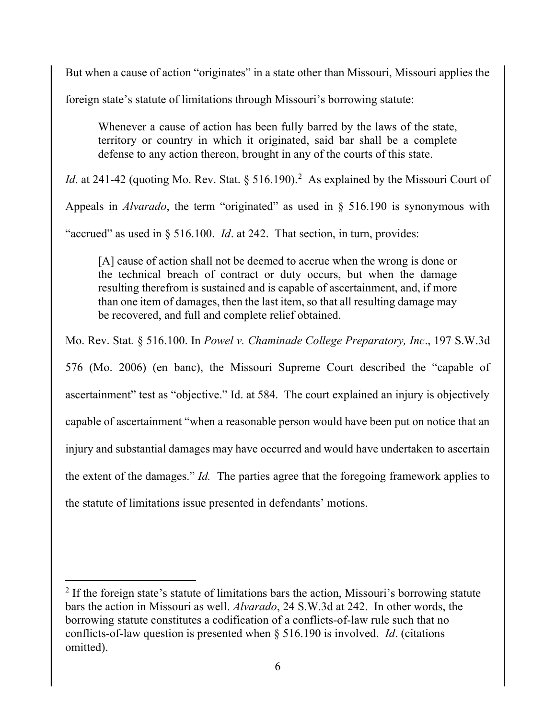But when a cause of action "originates" in a state other than Missouri, Missouri applies the

foreign state's statute of limitations through Missouri's borrowing statute:

Whenever a cause of action has been fully barred by the laws of the state, territory or country in which it originated, said bar shall be a complete defense to any action thereon, brought in any of the courts of this state.

*Id.* at 241-42 (quoting Mo. Rev. Stat. § 516.190).<sup>2</sup> As explained by the Missouri Court of

Appeals in *Alvarado*, the term "originated" as used in  $\S$  516.190 is synonymous with

"accrued" as used in  $\S 516.100$ . *Id.* at 242. That section, in turn, provides:

[A] cause of action shall not be deemed to accrue when the wrong is done or the technical breach of contract or duty occurs, but when the damage resulting therefrom is sustained and is capable of ascertainment, and, if more than one item of damages, then the last item, so that all resulting damage may be recovered, and full and complete relief obtained.

Mo. Rev. Stat. § 516.100. In Powel v. Chaminade College Preparatory, Inc., 197 S.W.3d

576 (Mo. 2006) (en banc), the Missouri Supreme Court described the "capable of ascertainment" test as "objective." Id. at 584. The court explained an injury is objectively capable of ascertainment "when a reasonable person would have been put on notice that an injury and substantial damages may have occurred and would have undertaken to ascertain the extent of the damages." Id. The parties agree that the foregoing framework applies to the statute of limitations issue presented in defendants' motions.

 $2$  If the foreign state's statute of limitations bars the action, Missouri's borrowing statute bars the action in Missouri as well. Alvarado, 24 S.W.3d at 242. In other words, the borrowing statute constitutes a codification of a conflicts-of-law rule such that no conflicts-of-law question is presented when § 516.190 is involved. Id. (citations omitted).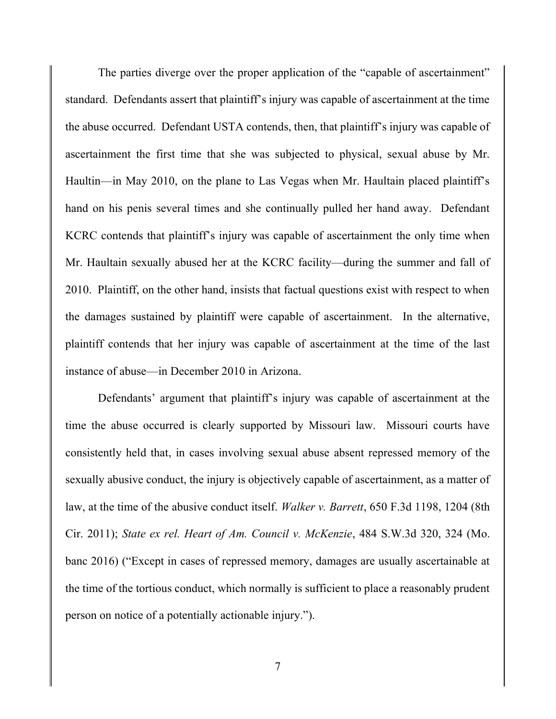The parties diverge over the proper application of the "capable of ascertainment" standard. Defendants assert that plaintiff's injury was capable of ascertainment at the time the abuse occurred. Defendant USTA contends, then, that plaintiff's injury was capable of ascertainment the first time that she was subjected to physical, sexual abuse by Mr. Haultin—in May 2010, on the plane to Las Vegas when Mr. Haultain placed plaintiff's hand on his penis several times and she continually pulled her hand away. Defendant KCRC contends that plaintiff's injury was capable of ascertainment the only time when Mr. Haultain sexually abused her at the KCRC facility—during the summer and fall of 2010. Plaintiff, on the other hand, insists that factual questions exist with respect to when the damages sustained by plaintiff were capable of ascertainment. In the alternative, plaintiff contends that her injury was capable of ascertainment at the time of the last instance of abuse—in December 2010 in Arizona.

 Defendants' argument that plaintiff's injury was capable of ascertainment at the time the abuse occurred is clearly supported by Missouri law. Missouri courts have consistently held that, in cases involving sexual abuse absent repressed memory of the sexually abusive conduct, the injury is objectively capable of ascertainment, as a matter of law, at the time of the abusive conduct itself. *Walker v. Barrett*, 650 F.3d 1198, 1204 (8th Cir. 2011); State ex rel. Heart of Am. Council v. McKenzie, 484 S.W.3d 320, 324 (Mo. banc 2016) ("Except in cases of repressed memory, damages are usually ascertainable at the time of the tortious conduct, which normally is sufficient to place a reasonably prudent person on notice of a potentially actionable injury.").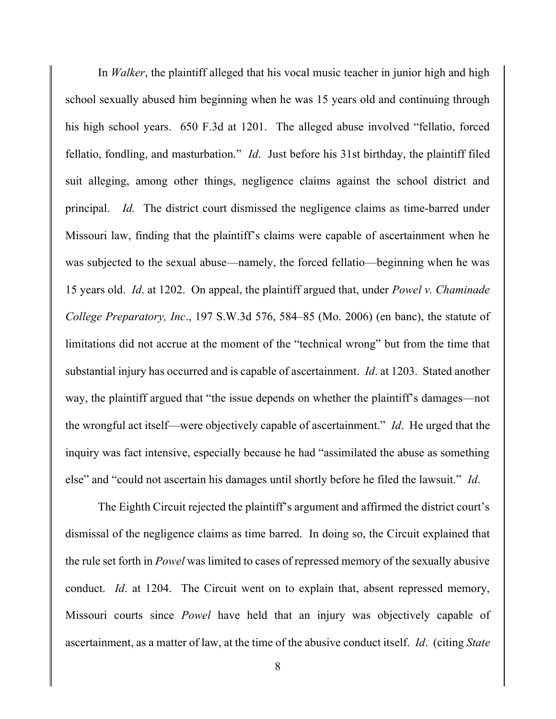In *Walker*, the plaintiff alleged that his vocal music teacher in junior high and high school sexually abused him beginning when he was 15 years old and continuing through his high school years. 650 F.3d at 1201. The alleged abuse involved "fellatio, forced fellatio, fondling, and masturbation." *Id*. Just before his 31st birthday, the plaintiff filed suit alleging, among other things, negligence claims against the school district and principal. Id. The district court dismissed the negligence claims as time-barred under Missouri law, finding that the plaintiff's claims were capable of ascertainment when he was subjected to the sexual abuse—namely, the forced fellatio—beginning when he was 15 years old. Id. at 1202. On appeal, the plaintiff argued that, under Powel v. Chaminade College Preparatory, Inc., 197 S.W.3d 576, 584–85 (Mo. 2006) (en banc), the statute of limitations did not accrue at the moment of the "technical wrong" but from the time that substantial injury has occurred and is capable of ascertainment. *Id.* at 1203. Stated another way, the plaintiff argued that "the issue depends on whether the plaintiff's damages—not the wrongful act itself—were objectively capable of ascertainment." Id. He urged that the inquiry was fact intensive, especially because he had "assimilated the abuse as something else" and "could not ascertain his damages until shortly before he filed the lawsuit." Id.

 The Eighth Circuit rejected the plaintiff's argument and affirmed the district court's dismissal of the negligence claims as time barred. In doing so, the Circuit explained that the rule set forth in Powel was limited to cases of repressed memory of the sexually abusive conduct. *Id.* at 1204. The Circuit went on to explain that, absent repressed memory, Missouri courts since Powel have held that an injury was objectively capable of ascertainment, as a matter of law, at the time of the abusive conduct itself. Id. (citing State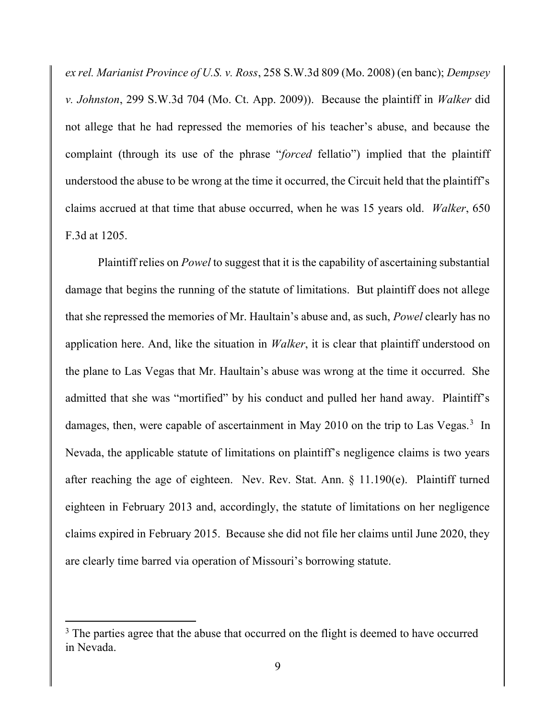ex rel. Marianist Province of U.S. v. Ross, 258 S.W.3d 809 (Mo. 2008) (en banc); Dempsey v. Johnston, 299 S.W.3d 704 (Mo. Ct. App. 2009)). Because the plaintiff in Walker did not allege that he had repressed the memories of his teacher's abuse, and because the complaint (through its use of the phrase "*forced* fellatio") implied that the plaintiff understood the abuse to be wrong at the time it occurred, the Circuit held that the plaintiff's claims accrued at that time that abuse occurred, when he was 15 years old. Walker, 650 F.3d at 1205.

 Plaintiff relies on Powel to suggest that it is the capability of ascertaining substantial damage that begins the running of the statute of limitations. But plaintiff does not allege that she repressed the memories of Mr. Haultain's abuse and, as such, Powel clearly has no application here. And, like the situation in *Walker*, it is clear that plaintiff understood on the plane to Las Vegas that Mr. Haultain's abuse was wrong at the time it occurred. She admitted that she was "mortified" by his conduct and pulled her hand away. Plaintiff's damages, then, were capable of ascertainment in May 2010 on the trip to Las Vegas.<sup>3</sup> In Nevada, the applicable statute of limitations on plaintiff's negligence claims is two years after reaching the age of eighteen. Nev. Rev. Stat. Ann. § 11.190(e). Plaintiff turned eighteen in February 2013 and, accordingly, the statute of limitations on her negligence claims expired in February 2015. Because she did not file her claims until June 2020, they are clearly time barred via operation of Missouri's borrowing statute.

 $3$  The parties agree that the abuse that occurred on the flight is deemed to have occurred in Nevada.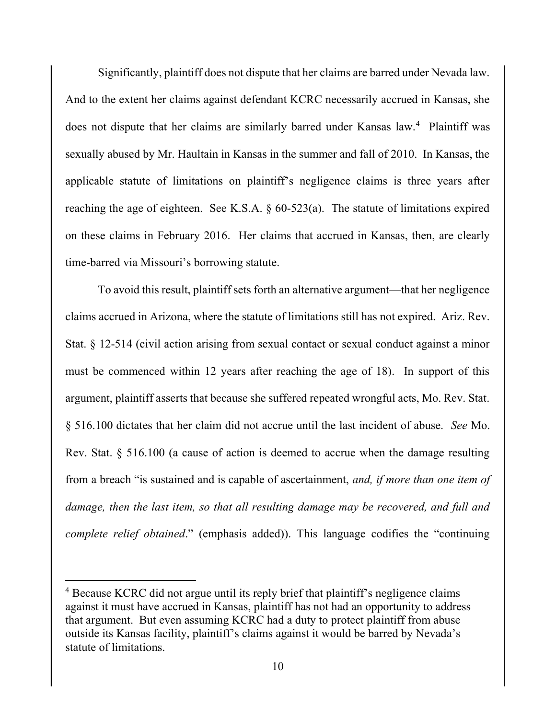Significantly, plaintiff does not dispute that her claims are barred under Nevada law. And to the extent her claims against defendant KCRC necessarily accrued in Kansas, she does not dispute that her claims are similarly barred under Kansas law.<sup>4</sup> Plaintiff was sexually abused by Mr. Haultain in Kansas in the summer and fall of 2010. In Kansas, the applicable statute of limitations on plaintiff's negligence claims is three years after reaching the age of eighteen. See K.S.A.  $\S$  60-523(a). The statute of limitations expired on these claims in February 2016. Her claims that accrued in Kansas, then, are clearly time-barred via Missouri's borrowing statute.

 To avoid this result, plaintiff sets forth an alternative argument—that her negligence claims accrued in Arizona, where the statute of limitations still has not expired. Ariz. Rev. Stat. § 12-514 (civil action arising from sexual contact or sexual conduct against a minor must be commenced within 12 years after reaching the age of 18). In support of this argument, plaintiff asserts that because she suffered repeated wrongful acts, Mo. Rev. Stat. § 516.100 dictates that her claim did not accrue until the last incident of abuse. See Mo. Rev. Stat. § 516.100 (a cause of action is deemed to accrue when the damage resulting from a breach "is sustained and is capable of ascertainment, and, if more than one item of damage, then the last item, so that all resulting damage may be recovered, and full and complete relief obtained." (emphasis added)). This language codifies the "continuing

<sup>&</sup>lt;sup>4</sup> Because KCRC did not argue until its reply brief that plaintiff's negligence claims against it must have accrued in Kansas, plaintiff has not had an opportunity to address that argument. But even assuming KCRC had a duty to protect plaintiff from abuse outside its Kansas facility, plaintiff's claims against it would be barred by Nevada's statute of limitations.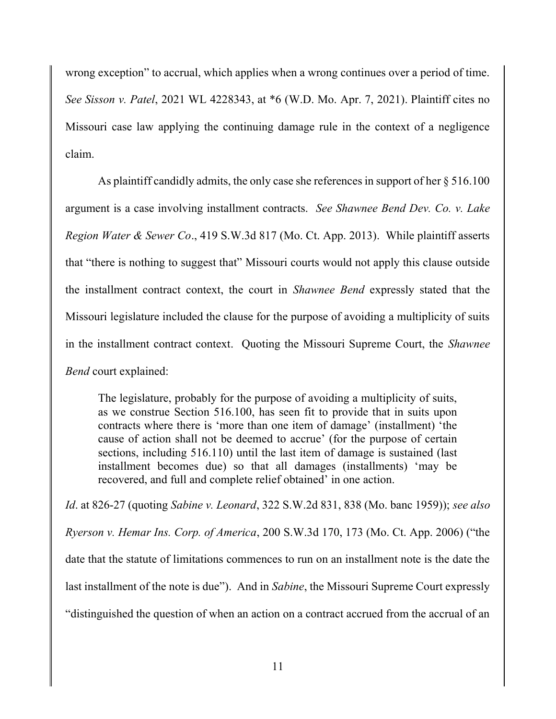wrong exception" to accrual, which applies when a wrong continues over a period of time. See Sisson v. Patel, 2021 WL 4228343, at \*6 (W.D. Mo. Apr. 7, 2021). Plaintiff cites no Missouri case law applying the continuing damage rule in the context of a negligence claim.

 As plaintiff candidly admits, the only case she references in support of her § 516.100 argument is a case involving installment contracts. See Shawnee Bend Dev. Co. v. Lake Region Water & Sewer Co., 419 S.W.3d 817 (Mo. Ct. App. 2013). While plaintiff asserts that "there is nothing to suggest that" Missouri courts would not apply this clause outside the installment contract context, the court in Shawnee Bend expressly stated that the Missouri legislature included the clause for the purpose of avoiding a multiplicity of suits in the installment contract context. Quoting the Missouri Supreme Court, the Shawnee Bend court explained:

The legislature, probably for the purpose of avoiding a multiplicity of suits, as we construe Section 516.100, has seen fit to provide that in suits upon contracts where there is 'more than one item of damage' (installment) 'the cause of action shall not be deemed to accrue' (for the purpose of certain sections, including 516.110) until the last item of damage is sustained (last installment becomes due) so that all damages (installments) 'may be recovered, and full and complete relief obtained' in one action.

Id. at 826-27 (quoting Sabine v. Leonard, 322 S.W.2d 831, 838 (Mo. banc 1959)); see also Ryerson v. Hemar Ins. Corp. of America, 200 S.W.3d 170, 173 (Mo. Ct. App. 2006) ("the date that the statute of limitations commences to run on an installment note is the date the last installment of the note is due"). And in Sabine, the Missouri Supreme Court expressly "distinguished the question of when an action on a contract accrued from the accrual of an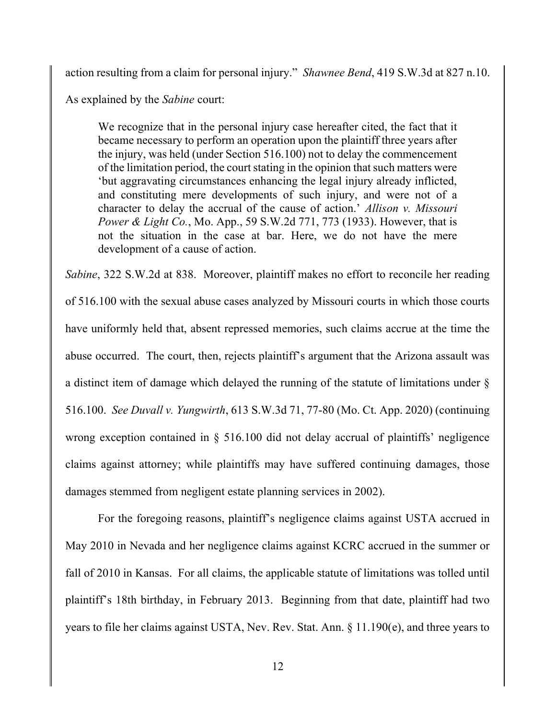action resulting from a claim for personal injury." Shawnee Bend, 419 S.W.3d at 827 n.10.

As explained by the Sabine court:

We recognize that in the personal injury case hereafter cited, the fact that it became necessary to perform an operation upon the plaintiff three years after the injury, was held (under Section 516.100) not to delay the commencement of the limitation period, the court stating in the opinion that such matters were 'but aggravating circumstances enhancing the legal injury already inflicted, and constituting mere developments of such injury, and were not of a character to delay the accrual of the cause of action.' Allison v. Missouri *Power & Light Co.*, Mo. App., 59 S.W.2d 771, 773 (1933). However, that is not the situation in the case at bar. Here, we do not have the mere development of a cause of action.

Sabine, 322 S.W.2d at 838. Moreover, plaintiff makes no effort to reconcile her reading of 516.100 with the sexual abuse cases analyzed by Missouri courts in which those courts have uniformly held that, absent repressed memories, such claims accrue at the time the abuse occurred. The court, then, rejects plaintiff's argument that the Arizona assault was a distinct item of damage which delayed the running of the statute of limitations under § 516.100. See Duvall v. Yungwirth, 613 S.W.3d 71, 77-80 (Mo. Ct. App. 2020) (continuing wrong exception contained in § 516.100 did not delay accrual of plaintiffs' negligence claims against attorney; while plaintiffs may have suffered continuing damages, those damages stemmed from negligent estate planning services in 2002).

 For the foregoing reasons, plaintiff's negligence claims against USTA accrued in May 2010 in Nevada and her negligence claims against KCRC accrued in the summer or fall of 2010 in Kansas. For all claims, the applicable statute of limitations was tolled until plaintiff's 18th birthday, in February 2013. Beginning from that date, plaintiff had two years to file her claims against USTA, Nev. Rev. Stat. Ann. § 11.190(e), and three years to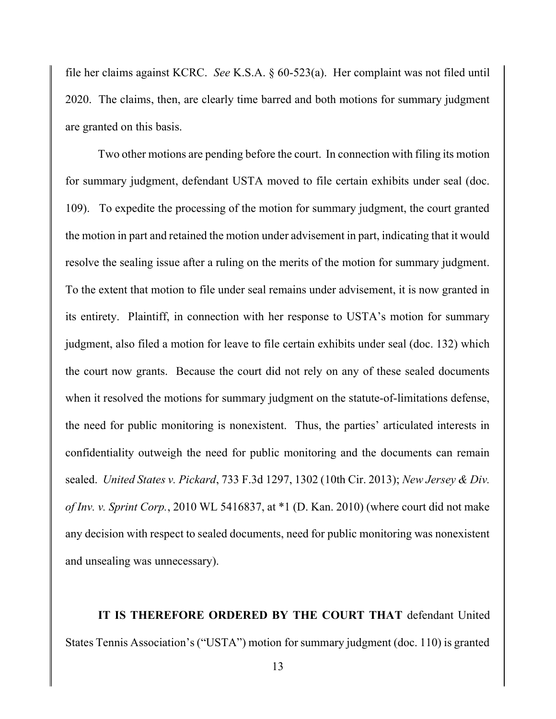file her claims against KCRC. See K.S.A. § 60-523(a). Her complaint was not filed until 2020. The claims, then, are clearly time barred and both motions for summary judgment are granted on this basis.

 Two other motions are pending before the court. In connection with filing its motion for summary judgment, defendant USTA moved to file certain exhibits under seal (doc. 109). To expedite the processing of the motion for summary judgment, the court granted the motion in part and retained the motion under advisement in part, indicating that it would resolve the sealing issue after a ruling on the merits of the motion for summary judgment. To the extent that motion to file under seal remains under advisement, it is now granted in its entirety. Plaintiff, in connection with her response to USTA's motion for summary judgment, also filed a motion for leave to file certain exhibits under seal (doc. 132) which the court now grants. Because the court did not rely on any of these sealed documents when it resolved the motions for summary judgment on the statute-of-limitations defense, the need for public monitoring is nonexistent. Thus, the parties' articulated interests in confidentiality outweigh the need for public monitoring and the documents can remain sealed. United States v. Pickard, 733 F.3d 1297, 1302 (10th Cir. 2013); New Jersey & Div. of Inv. v. Sprint Corp., 2010 WL 5416837, at  $*1$  (D. Kan. 2010) (where court did not make any decision with respect to sealed documents, need for public monitoring was nonexistent and unsealing was unnecessary).

IT IS THEREFORE ORDERED BY THE COURT THAT defendant United States Tennis Association's ("USTA") motion for summary judgment (doc. 110) is granted